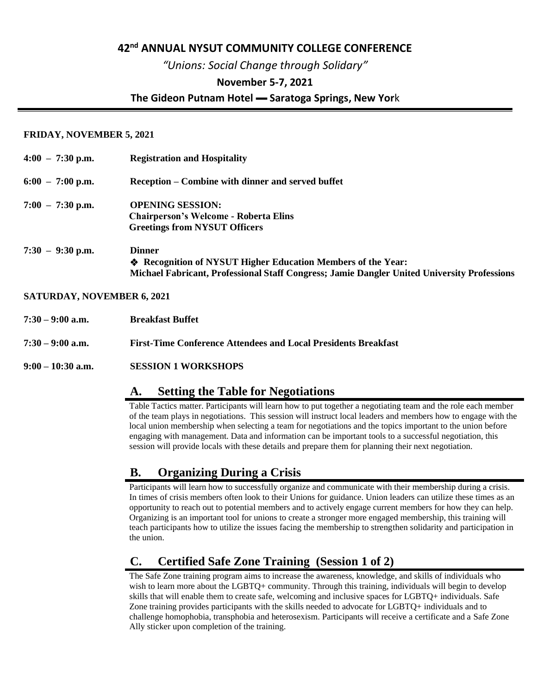#### **42nd ANNUAL NYSUT COMMUNITY COLLEGE CONFERENCE**

*"Unions: Social Change through Solidary"*

#### **November 5-7, 2021**

#### **The Gideon Putnam Hotel ▬ Saratoga Springs, New Yor**k

#### **FRIDAY, NOVEMBER 5, 2021**

| $4:00 - 7:30$ p.m. | <b>Registration and Hospitality</b>                                                                                                                                          |
|--------------------|------------------------------------------------------------------------------------------------------------------------------------------------------------------------------|
| $6:00 - 7:00$ p.m. | Reception – Combine with dinner and served buffet                                                                                                                            |
| $7:00 - 7:30$ p.m. | <b>OPENING SESSION:</b><br><b>Chairperson's Welcome - Roberta Elins</b><br><b>Greetings from NYSUT Officers</b>                                                              |
| $7:30 - 9:30$ p.m. | <b>Dinner</b><br>♦ Recognition of NYSUT Higher Education Members of the Year:<br>Michael Fabricant, Professional Staff Congress; Jamie Dangler United University Professions |

#### **SATURDAY, NOVEMBER 6, 2021**

| $7:30 - 9:00$ a.m.<br><b>Breakfast Buffet</b> |  |
|-----------------------------------------------|--|
|-----------------------------------------------|--|

- **7:30 – 9:00 a.m. First-Time Conference Attendees and Local Presidents Breakfast**
- **9:00 – 10:30 a.m. SESSION 1 WORKSHOPS**

### **A. Setting the Table for Negotiations**

Table Tactics matter. Participants will learn how to put together a negotiating team and the role each member of the team plays in negotiations. This session will instruct local leaders and members how to engage with the local union membership when selecting a team for negotiations and the topics important to the union before engaging with management. Data and information can be important tools to a successful negotiation, this session will provide locals with these details and prepare them for planning their next negotiation.

# **B. Organizing During a Crisis**

Participants will learn how to successfully organize and communicate with their membership during a crisis. In times of crisis members often look to their Unions for guidance. Union leaders can utilize these times as an opportunity to reach out to potential members and to actively engage current members for how they can help. Organizing is an important tool for unions to create a stronger more engaged membership, this training will teach participants how to utilize the issues facing the membership to strengthen solidarity and participation in the union.

# **C. Certified Safe Zone Training (Session 1 of 2)**

The Safe Zone training program aims to increase the awareness, knowledge, and skills of individuals who wish to learn more about the LGBTQ+ community. Through this training, individuals will begin to develop skills that will enable them to create safe, welcoming and inclusive spaces for LGBTQ+ individuals. Safe Zone training provides participants with the skills needed to advocate for LGBTQ+ individuals and to challenge homophobia, transphobia and heterosexism. Participants will receive a certificate and a Safe Zone Ally sticker upon completion of the training.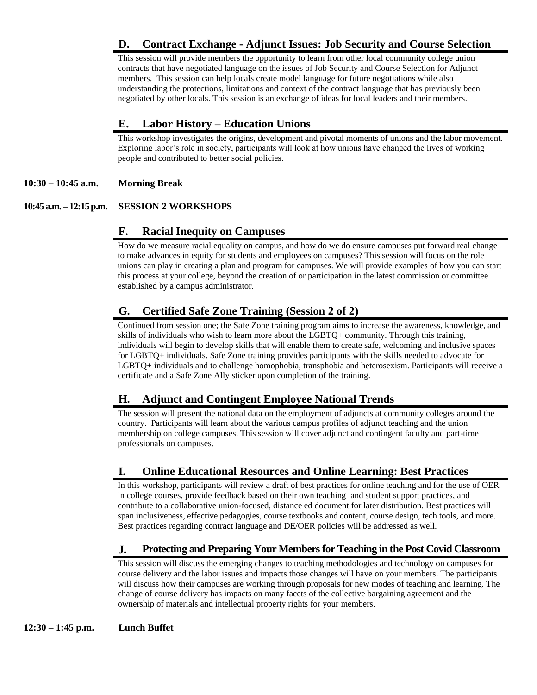## **D. Contract Exchange - Adjunct Issues: Job Security and Course Selection**

This session will provide members the opportunity to learn from other local community college union contracts that have negotiated language on the issues of Job Security and Course Selection for Adjunct members. This session can help locals create model language for future negotiations while also understanding the protections, limitations and context of the contract language that has previously been negotiated by other locals. This session is an exchange of ideas for local leaders and their members.

## **E. Labor History – Education Unions**

This workshop investigates the origins, development and pivotal moments of unions and the labor movement. Exploring labor's role in society, participants will look at how unions have changed the lives of working people and contributed to better social policies.

#### **10:30 – 10:45 a.m. Morning Break**

#### **10:45 a.m. – 12:15 p.m. SESSION 2 WORKSHOPS**

### **F. Racial Inequity on Campuses**

How do we measure racial equality on campus, and how do we do ensure campuses put forward real change to make advances in equity for students and employees on campuses? This session will focus on the role unions can play in creating a plan and program for campuses. We will provide examples of how you can start this process at your college, beyond the creation of or participation in the latest commission or committee established by a campus administrator.

### **G. Certified Safe Zone Training (Session 2 of 2)**

Continued from session one; the Safe Zone training program aims to increase the awareness, knowledge, and skills of individuals who wish to learn more about the LGBTQ+ community. Through this training, individuals will begin to develop skills that will enable them to create safe, welcoming and inclusive spaces for LGBTQ+ individuals. Safe Zone training provides participants with the skills needed to advocate for LGBTQ+ individuals and to challenge homophobia, transphobia and heterosexism. Participants will receive a certificate and a Safe Zone Ally sticker upon completion of the training.

## **H. Adjunct and Contingent Employee National Trends**

The session will present the national data on the employment of adjuncts at community colleges around the country. Participants will learn about the various campus profiles of adjunct teaching and the union membership on college campuses. This session will cover adjunct and contingent faculty and part-time professionals on campuses.

## **I. Online Educational Resources and Online Learning: Best Practices**

In this workshop, participants will review a draft of best practices for online teaching and for the use of OER in college courses, provide feedback based on their own teaching and student support practices, and contribute to a collaborative union-focused, distance ed document for later distribution. Best practices will span inclusiveness, effective pedagogies, course textbooks and content, course design, tech tools, and more. Best practices regarding contract language and DE/OER policies will be addressed as well.

## **J. Protecting and Preparing Your Members for Teaching in the Post Covid Classroom**

This session will discuss the emerging changes to teaching methodologies and technology on campuses for course delivery and the labor issues and impacts those changes will have on your members. The participants will discuss how their campuses are working through proposals for new modes of teaching and learning. The change of course delivery has impacts on many facets of the collective bargaining agreement and the ownership of materials and intellectual property rights for your members.